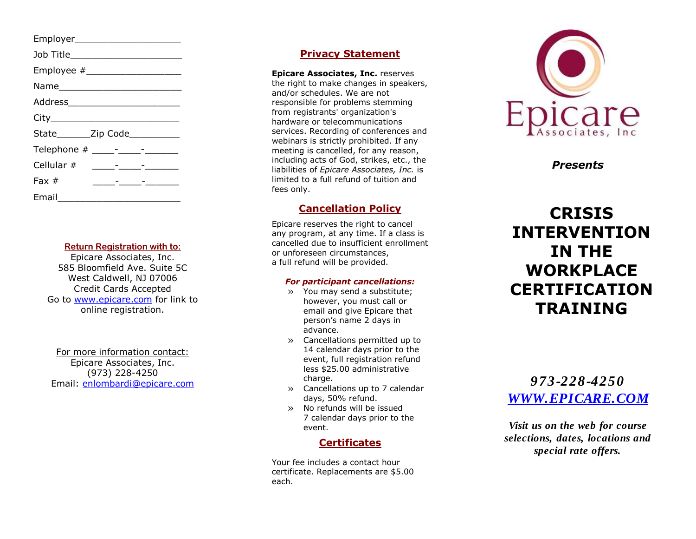Employer\_\_\_\_\_\_\_\_\_\_\_\_\_\_\_\_\_\_\_ Job Title\_\_\_\_\_\_\_\_\_\_\_\_\_\_\_\_\_\_\_\_ Employee  $#$ Name\_\_\_\_\_\_\_\_\_\_\_\_\_\_\_\_\_\_\_\_\_\_ Address\_\_\_\_\_\_\_\_\_\_\_\_\_\_\_\_\_\_\_\_  $City$ State Zip Code Telephone # \_\_\_\_ -\_\_\_\_ -\_\_\_\_\_\_ Cellular # \_\_\_\_ -\_\_\_\_ - \_\_\_\_\_\_ Fax # \_\_\_\_ -\_\_\_\_ -\_\_\_\_\_\_ Email\_\_\_\_\_\_\_\_\_\_\_\_\_\_\_\_\_\_\_\_\_\_

#### **Return Registration with to :**

Epicare Associates, Inc. 585 Bloomfield Ave. Suite 5C West Caldwell, NJ 07006 Credit Cards Accepted Go to [www.epicare.com](http://www.epicare.com/) for link to online registration.

For more information contact : Epicare Associates, Inc. (973) 228 -4250 Email: [enlombardi@epicare.com](mailto:enlombardi@epicare.com)

## **Privacy Statement**

**Epicare Associates, Inc.** reserves the right to make changes in speakers, and/or schedules. We are not responsible for problems stemming from registrants' organization's hardware or telecommunications services. Recording of conferences and webinars is strictly prohibited. If any meeting is cancelled, for any reason, including acts of God, strikes, etc., the liabilities of *Epicare Associates, Inc.* is limited to a full refund of tuition and fees only.

## **Cancellation Policy**

Epicare reserves the right to cancel any program, at any time. If a class is cancelled due to insufficient enrollment or unforeseen circumstances, a full refund will be provided.

#### *For participant cancellations:*

- » You may send a substitute; however, you must call or email and give Epicare that person's name 2 days in advance.
- » Cancellations permitted up to 14 calendar days prior to the event, full registration refund less \$25.00 administrative charge.
- » Cancellations up to 7 calendar days, 50% refund.
- » No refunds will be issued 7 calendar days prior to the event.

### **Certificates**

Your fee includes a contact hour certificate. Replacements are \$5.00 each.



*Presents*

# **CRISIS INTERVENTION IN THE WORKPLACE CERTIFICATION TRAINING**

*973 -228 -4250 [WWW.EPICARE.COM](http://www.epicare.com/)*

*Visit us on the web for course selections, dates, locations and special rate offers.*